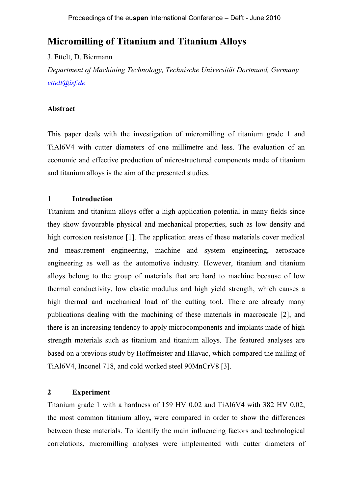# **Micromilling of Titanium and Titanium Alloys**

### J. Ettelt, D. Biermann

*Department of Machining Technology, Technische Universität Dortmund, Germany ettelt@isf.de*

### **Abstract**

This paper deals with the investigation of micromilling of titanium grade 1 and TiAl6V4 with cutter diameters of one millimetre and less. The evaluation of an economic and effective production of microstructured components made of titanium and titanium alloys is the aim of the presented studies.

### **1 Introduction**

Titanium and titanium alloys offer a high application potential in many fields since they show favourable physical and mechanical properties, such as low density and high corrosion resistance [1]. The application areas of these materials cover medical and measurement engineering, machine and system engineering, aerospace engineering as well as the automotive industry. However, titanium and titanium alloys belong to the group of materials that are hard to machine because of low thermal conductivity, low elastic modulus and high yield strength, which causes a high thermal and mechanical load of the cutting tool. There are already many publications dealing with the machining of these materials in macroscale [2], and there is an increasing tendency to apply microcomponents and implants made of high strength materials such as titanium and titanium alloys. The featured analyses are based on a previous study by Hoffmeister and Hlavac, which compared the milling of TiAl6V4, Inconel 718, and cold worked steel 90MnCrV8 [3].

### **2 Experiment**

Titanium grade 1 with a hardness of 159 HV 0.02 and TiAl6V4 with 382 HV 0.02, the most common titanium alloy**,** were compared in order to show the differences between these materials. To identify the main influencing factors and technological correlations, micromilling analyses were implemented with cutter diameters of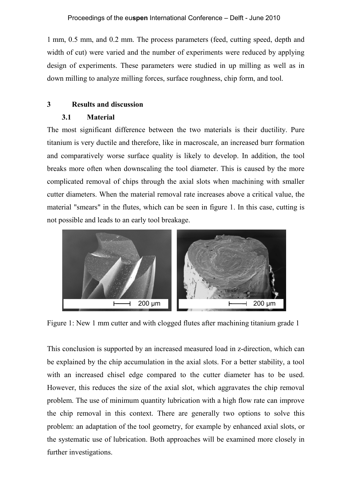1 mm, 0.5 mm, and 0.2 mm. The process parameters (feed, cutting speed, depth and width of cut) were varied and the number of experiments were reduced by applying design of experiments. These parameters were studied in up milling as well as in down milling to analyze milling forces, surface roughness, chip form, and tool.

## **3 Results and discussion**

### **3.1 Material**

The most significant difference between the two materials is their ductility. Pure titanium is very ductile and therefore, like in macroscale, an increased burr formation and comparatively worse surface quality is likely to develop. In addition, the tool breaks more often when downscaling the tool diameter. This is caused by the more complicated removal of chips through the axial slots when machining with smaller cutter diameters. When the material removal rate increases above a critical value, the material "smears" in the flutes, which can be seen in figure 1. In this case, cutting is not possible and leads to an early tool breakage.



Figure 1: New 1 mm cutter and with clogged flutes after machining titanium grade 1

This conclusion is supported by an increased measured load in z-direction, which can be explained by the chip accumulation in the axial slots. For a better stability, a tool with an increased chisel edge compared to the cutter diameter has to be used. However, this reduces the size of the axial slot, which aggravates the chip removal problem. The use of minimum quantity lubrication with a high flow rate can improve the chip removal in this context. There are generally two options to solve this problem: an adaptation of the tool geometry, for example by enhanced axial slots, or the systematic use of lubrication. Both approaches will be examined more closely in further investigations.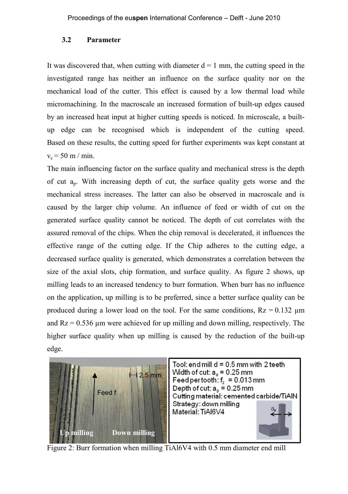### **3.2 Parameter**

It was discovered that, when cutting with diameter  $d = 1$  mm, the cutting speed in the investigated range has neither an influence on the surface quality nor on the mechanical load of the cutter. This effect is caused by a low thermal load while micromachining. In the macroscale an increased formation of built-up edges caused by an increased heat input at higher cutting speeds is noticed. In microscale, a builtup edge can be recognised which is independent of the cutting speed. Based on these results, the cutting speed for further experiments was kept constant at  $v_c = 50$  m / min.

The main influencing factor on the surface quality and mechanical stress is the depth of cut a<sup>p</sup> . With increasing depth of cut, the surface quality gets worse and the mechanical stress increases. The latter can also be observed in macroscale and is caused by the larger chip volume. An influence of feed or width of cut on the generated surface quality cannot be noticed. The depth of cut correlates with the assured removal of the chips. When the chip removal is decelerated, it influences the effective range of the cutting edge. If the Chip adheres to the cutting edge, a decreased surface quality is generated, which demonstrates a correlation between the size of the axial slots, chip formation, and surface quality. As figure 2 shows, up milling leads to an increased tendency to burr formation. When burr has no influence on the application, up milling is to be preferred, since a better surface quality can be produced during a lower load on the tool. For the same conditions,  $Rz = 0.132 \mu m$ and  $Rz = 0.536$  µm were achieved for up milling and down milling, respectively. The higher surface quality when up milling is caused by the reduction of the built-up edge.



Figure 2: Burr formation when milling TiAl6V4 with 0.5 mm diameter end mill